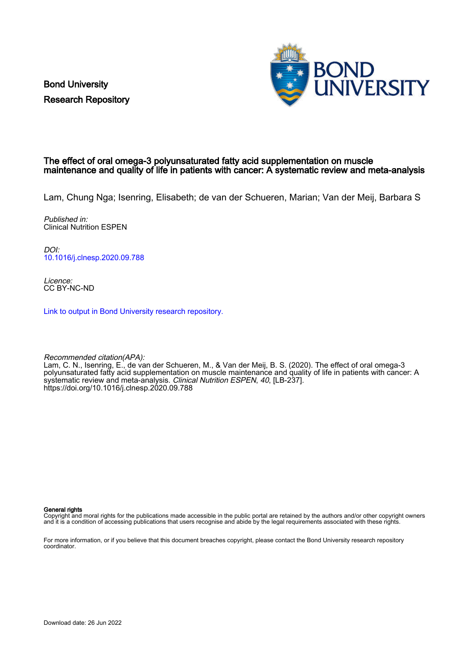Bond University Research Repository



### The effect of oral omega-3 polyunsaturated fatty acid supplementation on muscle maintenance and quality of life in patients with cancer: A systematic review and meta-analysis

Lam, Chung Nga; Isenring, Elisabeth; de van der Schueren, Marian; Van der Meij, Barbara S

Published in: Clinical Nutrition ESPEN

DOI: [10.1016/j.clnesp.2020.09.788](https://doi.org/10.1016/j.clnesp.2020.09.788)

Licence: CC BY-NC-ND

[Link to output in Bond University research repository.](https://research.bond.edu.au/en/publications/0260b4d6-40e8-4e8c-83a4-6ac676b37509)

Recommended citation(APA): Lam, C. N., Isenring, E., de van der Schueren, M., & Van der Meij, B. S. (2020). The effect of oral omega-3 polyunsaturated fatty acid supplementation on muscle maintenance and quality of life in patients with cancer: A systematic review and meta-analysis. Clinical Nutrition ESPEN, 40, [LB-237]. <https://doi.org/10.1016/j.clnesp.2020.09.788>

General rights

Copyright and moral rights for the publications made accessible in the public portal are retained by the authors and/or other copyright owners and it is a condition of accessing publications that users recognise and abide by the legal requirements associated with these rights.

For more information, or if you believe that this document breaches copyright, please contact the Bond University research repository coordinator.